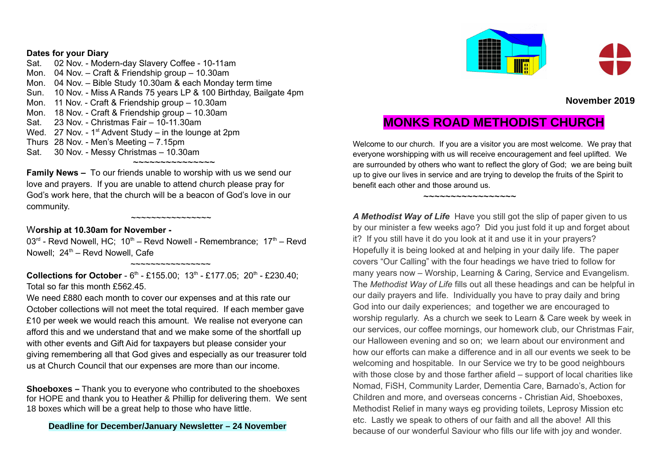#### **Dates for your Diary**

Sat. 02 Nov. - Modern-day Slavery Coffee - 10-11am Mon. 04 Nov. – Craft & Friendship group – 10.30am Mon. 04 Nov. – Bible Study 10.30am & each Monday term time Sun. 10 Nov. - Miss A Rands 75 years LP & 100 Birthday, Bailgate 4pm Mon. 11 Nov. - Craft & Friendship group – 10.30am Mon. 18 Nov. - Craft & Friendship group – 10.30am Sat. 23 Nov. - Christmas Fair – 10-11.30am Wed. 27 Nov. - 1<sup>st</sup> Advent Study – in the lounge at 2pm Thurs 28 Nov. - Men's Meeting – 7.15pm Sat. 30 Nov. - Messy Christmas – 10.30am ~~~~~~~~~~~~~~~

**Family News –** To our friends unable to worship with us we send our love and prayers. If you are unable to attend church please pray for God's work here, that the church will be a beacon of God's love in our community.

~~~~~~~~~~~~~~~~

### W**orship at 10.30am for November -**

 $03<sup>rd</sup>$  - Revd Nowell, HC;  $10<sup>th</sup>$  – Revd Nowell - Remembrance;  $17<sup>th</sup>$  – Revd Nowell;  $24<sup>th</sup>$  – Revd Nowell, Cafe

**Collections for October** - 6<sup>th</sup> - £155.00; 13<sup>th</sup> - £177.05; 20<sup>th</sup> - £230.40; Total so far this month £562.45.

~~~~~~~~~~~~~~~~

We need £880 each month to cover our expenses and at this rate our October collections will not meet the total required. If each member gave £10 per week we would reach this amount. We realise not everyone can afford this and we understand that and we make some of the shortfall up with other events and Gift Aid for taxpayers but please consider your giving remembering all that God gives and especially as our treasurer told us at Church Council that our expenses are more than our income.

**Shoeboxes –** Thank you to everyone who contributed to the shoeboxes for HOPE and thank you to Heather & Phillip for delivering them. We sent 18 boxes which will be a great help to those who have little.

### **Deadline for December/January Newsletter – 24 November**



## **November 2019**

# **MONKS ROAD METHODIST CHURCH**

Welcome to our church. If you are a visitor you are most welcome. We pray that everyone worshipping with us will receive encouragement and feel uplifted. We are surrounded by others who want to reflect the glory of God; we are being built up to give our lives in service and are trying to develop the fruits of the Spirit to benefit each other and those around us.

 $\sim$ ~~~~~~~~~~~~~~~

A Methodist Way of Life Have you still got the slip of paper given to us by our minister a few weeks ago? Did you just fold it up and forget about it? If you still have it do you look at it and use it in your prayers? Hopefully it is being looked at and helping in your daily life. The paper covers "Our Calling" with the four headings we have tried to follow for many years now – Worship, Learning & Caring, Service and Evangelism. The *Methodist Way of Life* fills out all these headings and can be helpful in our daily prayers and life. Individually you have to pray daily and bring God into our daily experiences; and together we are encouraged to worship regularly. As a church we seek to Learn & Care week by week in our services, our coffee mornings, our homework club, our Christmas Fair, our Halloween evening and so on; we learn about our environment and how our efforts can make a difference and in all our events we seek to be welcoming and hospitable. In our Service we try to be good neighbours with those close by and those farther afield – support of local charities like Nomad, FiSH, Community Larder, Dementia Care, Barnado's, Action for Children and more, and overseas concerns - Christian Aid, Shoeboxes, Methodist Relief in many ways eg providing toilets, Leprosy Mission etc etc. Lastly we speak to others of our faith and all the above! All this because of our wonderful Saviour who fills our life with joy and wonder.